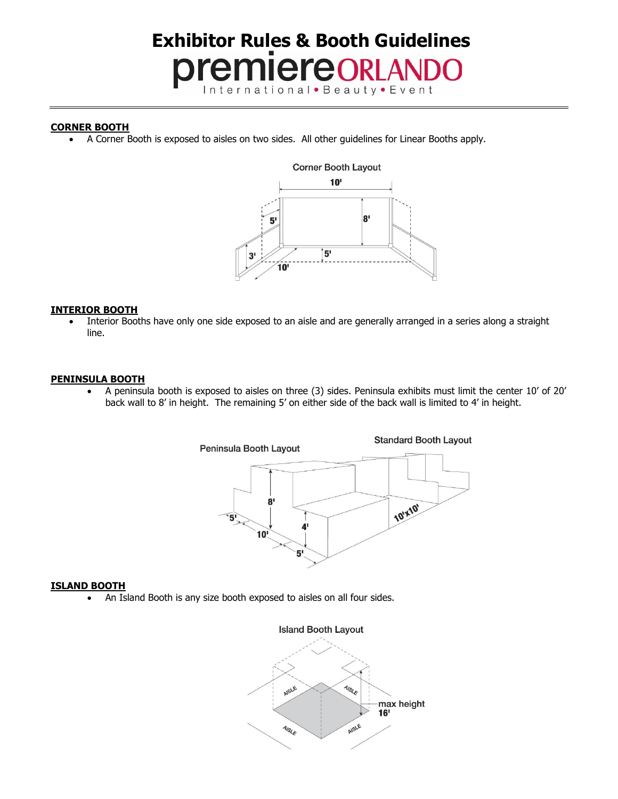# **Exhibitor Rules & Booth Guidelines** premiereorLANDO International • Beauty • Event

## **CORNER BOOTH**

• A Corner Booth is exposed to aisles on two sides. All other guidelines for Linear Booths apply.



## **INTERIOR BOOTH**

• Interior Booths have only one side exposed to an aisle and are generally arranged in a series along a straight line.

## **PENINSULA BOOTH**

• A peninsula booth is exposed to aisles on three (3) sides. Peninsula exhibits must limit the center 10' of 20' back wall to 8' in height. The remaining 5' on either side of the back wall is limited to 4' in height.



## **ISLAND BOOTH**

• An Island Booth is any size booth exposed to aisles on all four sides.

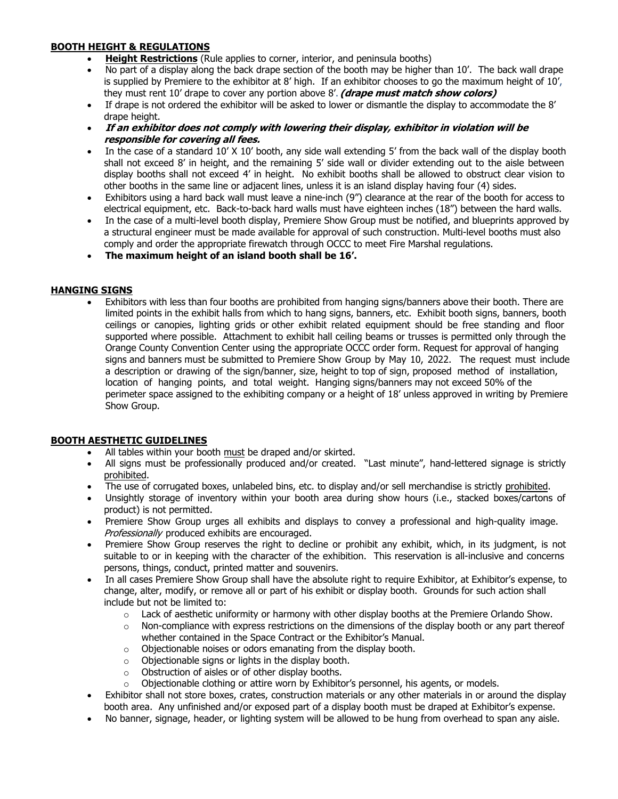# **BOOTH HEIGHT & REGULATIONS**

- **Height Restrictions** (Rule applies to corner, interior, and peninsula booths)
- No part of a display along the back drape section of the booth may be higher than 10'. The back wall drape is supplied by Premiere to the exhibitor at 8' high. If an exhibitor chooses to go the maximum height of 10', they must rent 10' drape to cover any portion above 8'. **(drape must match show colors)**
- If drape is not ordered the exhibitor will be asked to lower or dismantle the display to accommodate the 8' drape height.
- **If an exhibitor does not comply with lowering their display, exhibitor in violation will be responsible for covering all fees.**
- In the case of a standard 10' X 10' booth, any side wall extending 5' from the back wall of the display booth shall not exceed 8' in height, and the remaining 5' side wall or divider extending out to the aisle between display booths shall not exceed 4' in height. No exhibit booths shall be allowed to obstruct clear vision to other booths in the same line or adjacent lines, unless it is an island display having four (4) sides.
- Exhibitors using a hard back wall must leave a nine-inch (9") clearance at the rear of the booth for access to electrical equipment, etc. Back-to-back hard walls must have eighteen inches (18") between the hard walls.
- In the case of a multi-level booth display, Premiere Show Group must be notified, and blueprints approved by a structural engineer must be made available for approval of such construction. Multi-level booths must also comply and order the appropriate firewatch through OCCC to meet Fire Marshal regulations.
- **The maximum height of an island booth shall be 16'.**

# **HANGING SIGNS**

• Exhibitors with less than four booths are prohibited from hanging signs/banners above their booth. There are limited points in the exhibit halls from which to hang signs, banners, etc. Exhibit booth signs, banners, booth ceilings or canopies, lighting grids or other exhibit related equipment should be free standing and floor supported where possible. Attachment to exhibit hall ceiling beams or trusses is permitted only through the Orange County Convention Center using the appropriate OCCC order form. Request for approval of hanging signs and banners must be submitted to Premiere Show Group by May 10, 2022. The request must include a description or drawing of the sign/banner, size, height to top of sign, proposed method of installation, location of hanging points, and total weight. Hanging signs/banners may not exceed 50% of the perimeter space assigned to the exhibiting company or a height of 18' unless approved in writing by Premiere Show Group.

# **BOOTH AESTHETIC GUIDELINES**

- All tables within your booth must be draped and/or skirted.
- All signs must be professionally produced and/or created. "Last minute", hand-lettered signage is strictly prohibited.
- The use of corrugated boxes, unlabeled bins, etc. to display and/or sell merchandise is strictly prohibited.
- Unsightly storage of inventory within your booth area during show hours (i.e., stacked boxes/cartons of product) is not permitted.
- Premiere Show Group urges all exhibits and displays to convey a professional and high-quality image. Professionally produced exhibits are encouraged.
- Premiere Show Group reserves the right to decline or prohibit any exhibit, which, in its judgment, is not suitable to or in keeping with the character of the exhibition. This reservation is all-inclusive and concerns persons, things, conduct, printed matter and souvenirs.
- In all cases Premiere Show Group shall have the absolute right to require Exhibitor, at Exhibitor's expense, to change, alter, modify, or remove all or part of his exhibit or display booth. Grounds for such action shall include but not be limited to:
	- $\circ$  Lack of aesthetic uniformity or harmony with other display booths at the Premiere Orlando Show.
	- $\circ$  Non-compliance with express restrictions on the dimensions of the display booth or any part thereof whether contained in the Space Contract or the Exhibitor's Manual.
	- o Objectionable noises or odors emanating from the display booth.
	- $\circ$  Objectionable signs or lights in the display booth.
	- o Obstruction of aisles or of other display booths.
	- $\circ$  Objectionable clothing or attire worn by Exhibitor's personnel, his agents, or models.
- Exhibitor shall not store boxes, crates, construction materials or any other materials in or around the display booth area. Any unfinished and/or exposed part of a display booth must be draped at Exhibitor's expense.
- No banner, signage, header, or lighting system will be allowed to be hung from overhead to span any aisle.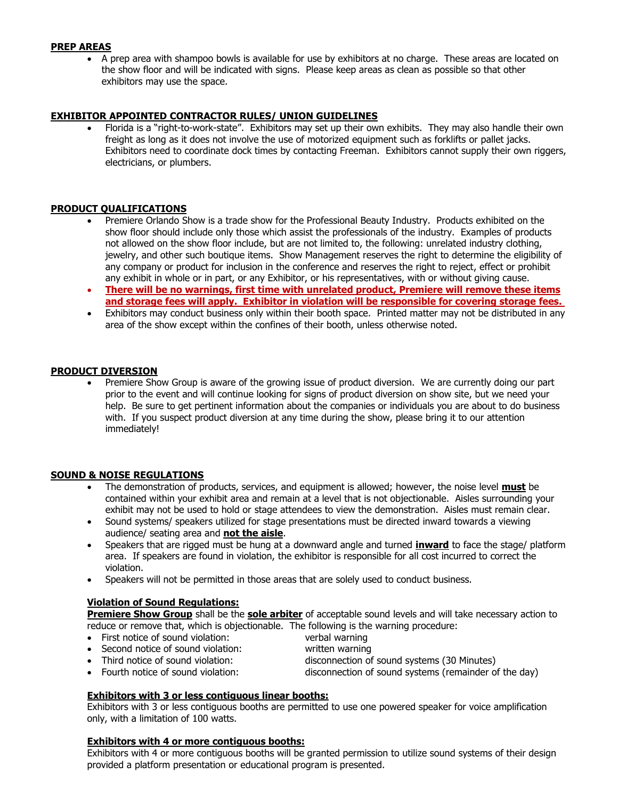## **PREP AREAS**

• A prep area with shampoo bowls is available for use by exhibitors at no charge. These areas are located on the show floor and will be indicated with signs. Please keep areas as clean as possible so that other exhibitors may use the space.

#### **EXHIBITOR APPOINTED CONTRACTOR RULES/ UNION GUIDELINES**

• Florida is a "right-to-work-state". Exhibitors may set up their own exhibits. They may also handle their own freight as long as it does not involve the use of motorized equipment such as forklifts or pallet jacks. Exhibitors need to coordinate dock times by contacting Freeman. Exhibitors cannot supply their own riggers, electricians, or plumbers.

#### **PRODUCT QUALIFICATIONS**

- Premiere Orlando Show is a trade show for the Professional Beauty Industry. Products exhibited on the show floor should include only those which assist the professionals of the industry. Examples of products not allowed on the show floor include, but are not limited to, the following: unrelated industry clothing, jewelry, and other such boutique items. Show Management reserves the right to determine the eligibility of any company or product for inclusion in the conference and reserves the right to reject, effect or prohibit any exhibit in whole or in part, or any Exhibitor, or his representatives, with or without giving cause.
- **There will be no warnings, first time with unrelated product, Premiere will remove these items and storage fees will apply. Exhibitor in violation will be responsible for covering storage fees.**
- Exhibitors may conduct business only within their booth space. Printed matter may not be distributed in any area of the show except within the confines of their booth, unless otherwise noted.

#### **PRODUCT DIVERSION**

• Premiere Show Group is aware of the growing issue of product diversion. We are currently doing our part prior to the event and will continue looking for signs of product diversion on show site, but we need your help. Be sure to get pertinent information about the companies or individuals you are about to do business with. If you suspect product diversion at any time during the show, please bring it to our attention immediately!

#### **SOUND & NOISE REGULATIONS**

- The demonstration of products, services, and equipment is allowed; however, the noise level **must** be contained within your exhibit area and remain at a level that is not objectionable. Aisles surrounding your exhibit may not be used to hold or stage attendees to view the demonstration. Aisles must remain clear.
- Sound systems/ speakers utilized for stage presentations must be directed inward towards a viewing audience/ seating area and **not the aisle**.
- Speakers that are rigged must be hung at a downward angle and turned **inward** to face the stage/ platform area. If speakers are found in violation, the exhibitor is responsible for all cost incurred to correct the violation.
- Speakers will not be permitted in those areas that are solely used to conduct business.

#### **Violation of Sound Regulations:**

**Premiere Show Group** shall be the **sole arbiter** of acceptable sound levels and will take necessary action to reduce or remove that, which is objectionable. The following is the warning procedure:

- First notice of sound violation: verbal warning
- Second notice of sound violation: written warning
- Third notice of sound violation: disconnection of sound systems (30 Minutes)
- Fourth notice of sound violation: disconnection of sound systems (remainder of the day)

## **Exhibitors with 3 or less contiguous linear booths:**

Exhibitors with 3 or less contiguous booths are permitted to use one powered speaker for voice amplification only, with a limitation of 100 watts.

#### **Exhibitors with 4 or more contiguous booths:**

Exhibitors with 4 or more contiguous booths will be granted permission to utilize sound systems of their design provided a platform presentation or educational program is presented.